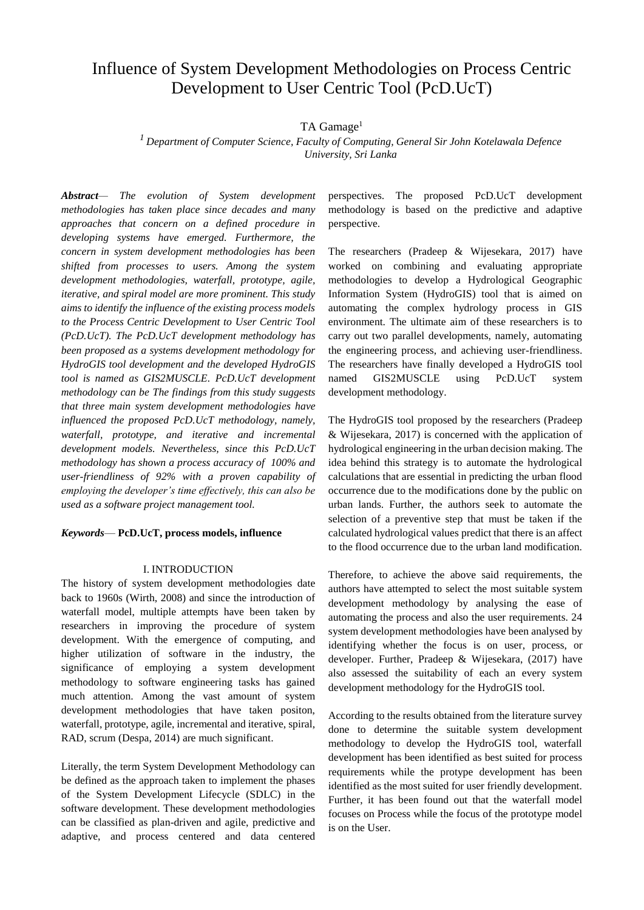# Influence of System Development Methodologies on Process Centric Development to User Centric Tool (PcD.UcT)

# TA Gamage<sup>1</sup>

*<sup>1</sup>Department of Computer Science, Faculty of Computing, General Sir John Kotelawala Defence University, Sri Lanka*

*Abstract— The evolution of System development methodologies has taken place since decades and many approaches that concern on a defined procedure in developing systems have emerged. Furthermore, the concern in system development methodologies has been shifted from processes to users. Among the system development methodologies, waterfall, prototype, agile, iterative, and spiral model are more prominent. This study aims to identify the influence of the existing process models to the Process Centric Development to User Centric Tool (PcD.UcT). The PcD.UcT development methodology has been proposed as a systems development methodology for HydroGIS tool development and the developed HydroGIS tool is named as GIS2MUSCLE. PcD.UcT development methodology can be The findings from this study suggests that three main system development methodologies have influenced the proposed PcD.UcT methodology, namely, waterfall, prototype, and iterative and incremental development models. Nevertheless, since this PcD.UcT methodology has shown a process accuracy of 100% and user-friendliness of 92% with a proven capability of employing the developer's time effectively, this can also be used as a software project management tool.*

## *Keywords*— **PcD.UcT, process models, influence**

#### I. INTRODUCTION

The history of system development methodologies date back to 1960s (Wirth, 2008) and since the introduction of waterfall model, multiple attempts have been taken by researchers in improving the procedure of system development. With the emergence of computing, and higher utilization of software in the industry, the significance of employing a system development methodology to software engineering tasks has gained much attention. Among the vast amount of system development methodologies that have taken positon, waterfall, prototype, agile, incremental and iterative, spiral, RAD, scrum (Despa, 2014) are much significant.

Literally, the term System Development Methodology can be defined as the approach taken to implement the phases of the System Development Lifecycle (SDLC) in the software development. These development methodologies can be classified as plan-driven and agile, predictive and adaptive, and process centered and data centered

perspectives. The proposed PcD.UcT development methodology is based on the predictive and adaptive perspective.

The researchers (Pradeep & Wijesekara, 2017) have worked on combining and evaluating appropriate methodologies to develop a Hydrological Geographic Information System (HydroGIS) tool that is aimed on automating the complex hydrology process in GIS environment. The ultimate aim of these researchers is to carry out two parallel developments, namely, automating the engineering process, and achieving user-friendliness. The researchers have finally developed a HydroGIS tool named GIS2MUSCLE using PcD.UcT system development methodology.

The HydroGIS tool proposed by the researchers (Pradeep & Wijesekara, 2017) is concerned with the application of hydrological engineering in the urban decision making. The idea behind this strategy is to automate the hydrological calculations that are essential in predicting the urban flood occurrence due to the modifications done by the public on urban lands. Further, the authors seek to automate the selection of a preventive step that must be taken if the calculated hydrological values predict that there is an affect to the flood occurrence due to the urban land modification.

Therefore, to achieve the above said requirements, the authors have attempted to select the most suitable system development methodology by analysing the ease of automating the process and also the user requirements. 24 system development methodologies have been analysed by identifying whether the focus is on user, process, or developer. Further, Pradeep & Wijesekara, (2017) have also assessed the suitability of each an every system development methodology for the HydroGIS tool.

According to the results obtained from the literature survey done to determine the suitable system development methodology to develop the HydroGIS tool, waterfall development has been identified as best suited for process requirements while the protype development has been identified as the most suited for user friendly development. Further, it has been found out that the waterfall model focuses on Process while the focus of the prototype model is on the User.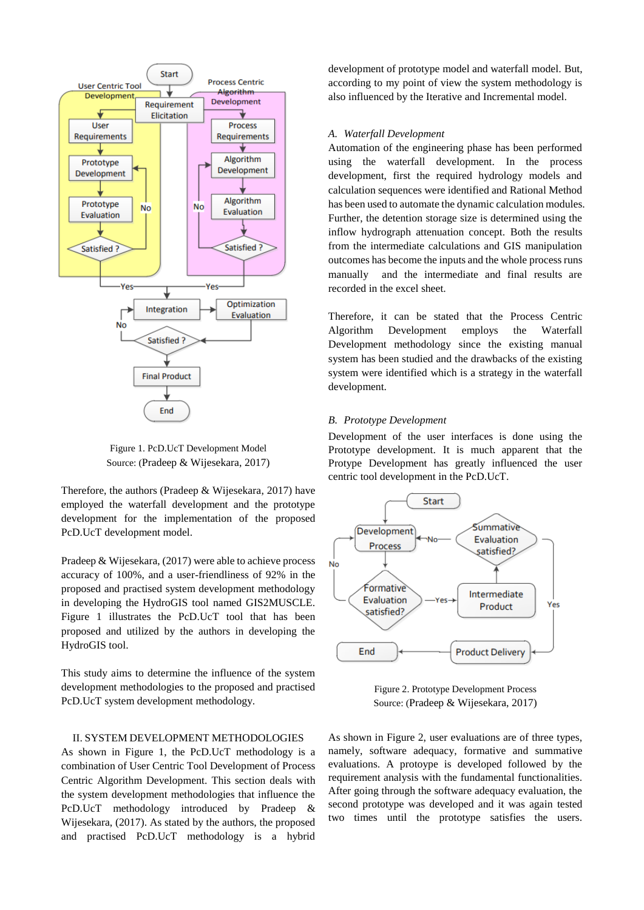

Figure 1. PcD.UcT Development Model Source: (Pradeep & Wijesekara, 2017)

Therefore, the authors (Pradeep & Wijesekara, 2017) have employed the waterfall development and the prototype development for the implementation of the proposed PcD.UcT development model.

Pradeep & Wijesekara, (2017) were able to achieve process accuracy of 100%, and a user-friendliness of 92% in the proposed and practised system development methodology in developing the HydroGIS tool named GIS2MUSCLE. Figure 1 illustrates the PcD.UcT tool that has been proposed and utilized by the authors in developing the HydroGIS tool.

This study aims to determine the influence of the system development methodologies to the proposed and practised PcD.UcT system development methodology.

# II. SYSTEM DEVELOPMENT METHODOLOGIES

As shown in Figure 1, the PcD.UcT methodology is a combination of User Centric Tool Development of Process Centric Algorithm Development. This section deals with the system development methodologies that influence the PcD.UcT methodology introduced by Pradeep & Wijesekara, (2017). As stated by the authors, the proposed and practised PcD.UcT methodology is a hybrid development of prototype model and waterfall model. But, according to my point of view the system methodology is also influenced by the Iterative and Incremental model.

#### *A. Waterfall Development*

Automation of the engineering phase has been performed using the waterfall development. In the process development, first the required hydrology models and calculation sequences were identified and Rational Method has been used to automate the dynamic calculation modules. Further, the detention storage size is determined using the inflow hydrograph attenuation concept. Both the results from the intermediate calculations and GIS manipulation outcomes has become the inputs and the whole process runs manually and the intermediate and final results are recorded in the excel sheet.

Therefore, it can be stated that the Process Centric Algorithm Development employs the Waterfall Development methodology since the existing manual system has been studied and the drawbacks of the existing system were identified which is a strategy in the waterfall development.

# *B. Prototype Development*

Development of the user interfaces is done using the Prototype development. It is much apparent that the Protype Development has greatly influenced the user centric tool development in the PcD.UcT.



Figure 2. Prototype Development Process Source: (Pradeep & Wijesekara, 2017)

As shown in Figure 2, user evaluations are of three types, namely, software adequacy, formative and summative evaluations. A protoype is developed followed by the requirement analysis with the fundamental functionalities. After going through the software adequacy evaluation, the second prototype was developed and it was again tested two times until the prototype satisfies the users.